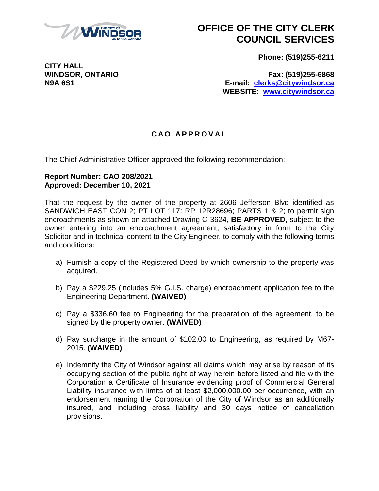

# **OFFICE OF THE CITY CLERK COUNCIL SERVICES**

**Phone: (519)255-6211**

**CITY HALL**

**WINDSOR, ONTARIO Fax: (519)255-6868 N9A 6S1 E-mail: [clerks@citywindsor.ca](mailto:clerks@citywindsor.ca) WEBSITE: [www.citywindsor.ca](http://www.citywindsor.ca/)**

### **C A O A P P R O V A L**

The Chief Administrative Officer approved the following recommendation:

#### **Report Number: CAO 208/2021 Approved: December 10, 2021**

That the request by the owner of the property at 2606 Jefferson Blvd identified as SANDWICH EAST CON 2; PT LOT 117: RP 12R28696; PARTS 1 & 2; to permit sign encroachments as shown on attached Drawing C-3624, **BE APPROVED,** subject to the owner entering into an encroachment agreement, satisfactory in form to the City Solicitor and in technical content to the City Engineer, to comply with the following terms and conditions:

- a) Furnish a copy of the Registered Deed by which ownership to the property was acquired.
- b) Pay a \$229.25 (includes 5% G.I.S. charge) encroachment application fee to the Engineering Department. **(WAIVED)**
- c) Pay a \$336.60 fee to Engineering for the preparation of the agreement, to be signed by the property owner. **(WAIVED)**
- d) Pay surcharge in the amount of \$102.00 to Engineering, as required by M67- 2015. **(WAIVED)**
- e) Indemnify the City of Windsor against all claims which may arise by reason of its occupying section of the public right-of-way herein before listed and file with the Corporation a Certificate of Insurance evidencing proof of Commercial General Liability insurance with limits of at least \$2,000,000.00 per occurrence, with an endorsement naming the Corporation of the City of Windsor as an additionally insured, and including cross liability and 30 days notice of cancellation provisions.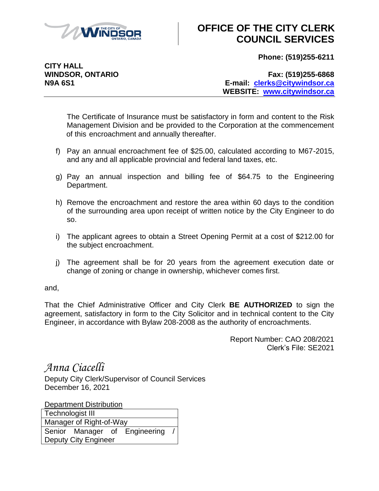

## **OFFICE OF THE CITY CLERK COUNCIL SERVICES**

**Phone: (519)255-6211**

**CITY HALL**

**WINDSOR, ONTARIO Fax: (519)255-6868 N9A 6S1 E-mail: [clerks@citywindsor.ca](mailto:clerks@citywindsor.ca) WEBSITE: [www.citywindsor.ca](http://www.citywindsor.ca/)**

The Certificate of Insurance must be satisfactory in form and content to the Risk Management Division and be provided to the Corporation at the commencement of this encroachment and annually thereafter.

- f) Pay an annual encroachment fee of \$25.00, calculated according to M67-2015, and any and all applicable provincial and federal land taxes, etc.
- g) Pay an annual inspection and billing fee of \$64.75 to the Engineering Department.
- h) Remove the encroachment and restore the area within 60 days to the condition of the surrounding area upon receipt of written notice by the City Engineer to do so.
- i) The applicant agrees to obtain a Street Opening Permit at a cost of \$212.00 for the subject encroachment.
- j) The agreement shall be for 20 years from the agreement execution date or change of zoning or change in ownership, whichever comes first.

and,

That the Chief Administrative Officer and City Clerk **BE AUTHORIZED** to sign the agreement, satisfactory in form to the City Solicitor and in technical content to the City Engineer, in accordance with Bylaw 208-2008 as the authority of encroachments.

> Report Number: CAO 208/2021 Clerk's File: SE2021

*Anna Ciacelli*

Deputy City Clerk/Supervisor of Council Services December 16, 2021

**Department Distribution** Technologist III Manager of Right-of-Way Senior Manager of Engineering Deputy City Engineer